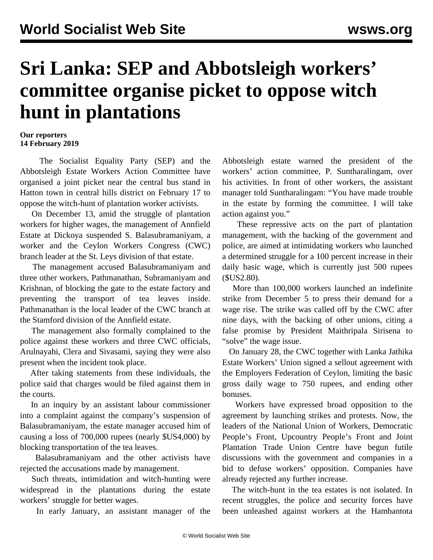## **Sri Lanka: SEP and Abbotsleigh workers' committee organise picket to oppose witch hunt in plantations**

## **Our reporters 14 February 2019**

 The Socialist Equality Party (SEP) and the Abbotsleigh Estate Workers Action Committee have organised a joint picket near the central bus stand in Hatton town in central hills district on February 17 to oppose the witch-hunt of plantation worker activists.

 On December 13, amid the struggle of plantation workers for higher wages, the management of Annfield Estate at Dickoya suspended S. Balasubramaniyam, a worker and the Ceylon Workers Congress (CWC) branch leader at the St. Leys division of that estate.

 The management accused Balasubramaniyam and three other workers, Pathmanathan, Subramaniyam and Krishnan, of blocking the gate to the estate factory and preventing the transport of tea leaves inside. Pathmanathan is the local leader of the CWC branch at the Stamford division of the Annfield estate.

 The management also formally complained to the police against these workers and three CWC officials, Arulnayahi, Clera and Sivasami, saying they were also present when the incident took place.

 After taking statements from these individuals, the police said that charges would be filed against them in the courts.

 In an inquiry by an assistant labour commissioner into a complaint against the company's suspension of Balasubramaniyam, the estate manager accused him of causing a loss of 700,000 rupees (nearly \$US4,000) by blocking transportation of the tea leaves.

 Balasubramaniyam and the other activists have rejected the accusations made by management.

 Such threats, intimidation and witch-hunting were widespread in the plantations during the estate workers' struggle for better wages.

In early January, an assistant manager of the

Abbotsleigh estate warned the president of the workers' action committee, P. Suntharalingam, over his activities. In front of other workers, the assistant manager told Suntharalingam: "You have made trouble in the estate by forming the committee. I will take action against you."

 These repressive acts on the part of plantation management, with the backing of the government and police, are aimed at intimidating workers who launched a determined struggle for a 100 percent increase in their daily basic wage, which is currently just 500 rupees (\$US2.80).

 More than 100,000 workers launched an indefinite strike from December 5 to press their demand for a wage rise. The strike was called off by the CWC after nine days, with the backing of other unions, citing a false promise by President Maithripala Sirisena to "solve" the wage issue.

 On January 28, the CWC together with Lanka Jathika Estate Workers' Union signed a sellout agreement with the Employers Federation of Ceylon, limiting the basic gross daily wage to 750 rupees, and ending other bonuses.

 Workers have expressed broad opposition to the agreement by launching strikes and protests. Now, the leaders of the National Union of Workers, Democratic People's Front, Upcountry People's Front and Joint Plantation Trade Union Centre have begun futile discussions with the government and companies in a bid to defuse workers' opposition. Companies have already rejected any further increase.

 The witch-hunt in the tea estates is not isolated. In recent struggles, the police and security forces have been unleashed against workers at the Hambantota